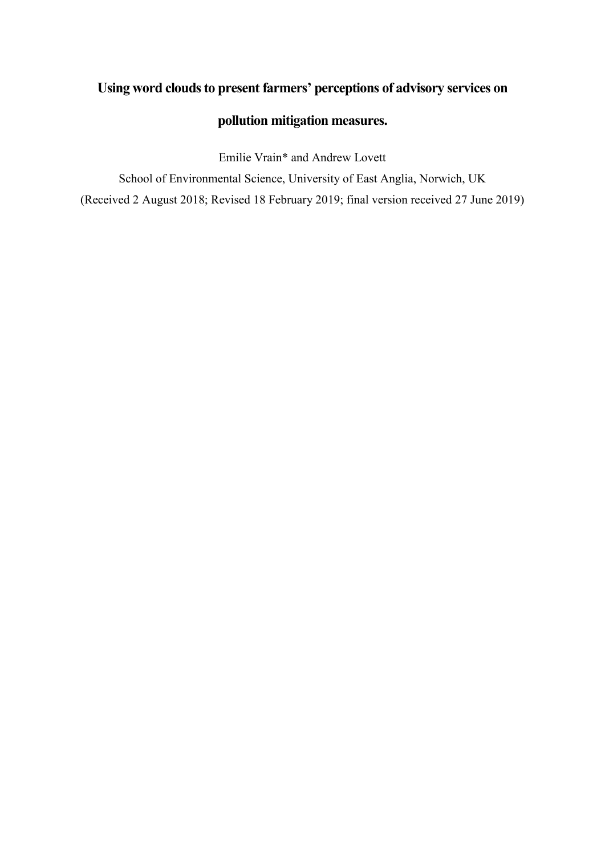# **Using word clouds to present farmers' perceptions of advisory services on pollution mitigation measures.**

Emilie Vrain\* and Andrew Lovett

School of Environmental Science, University of East Anglia, Norwich, UK (Received 2 August 2018; Revised 18 February 2019; final version received 27 June 2019)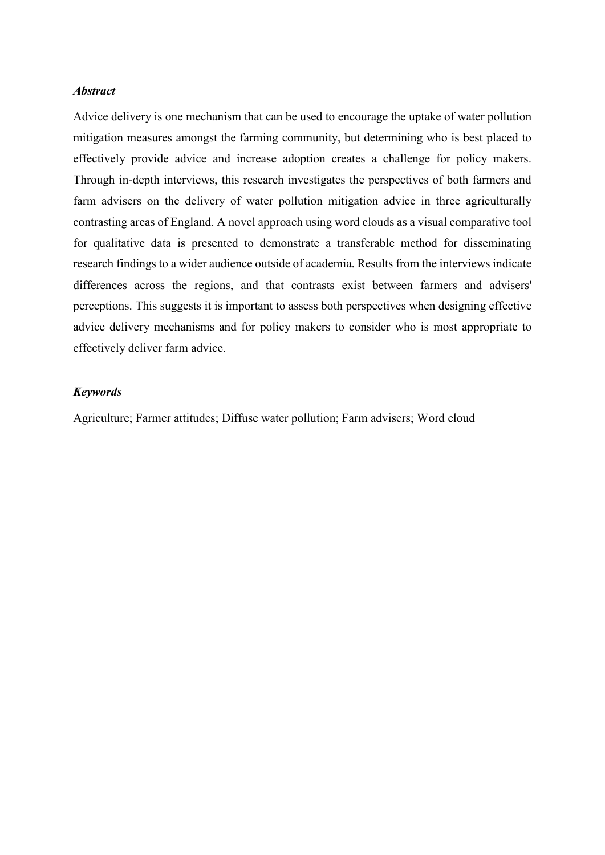#### *Abstract*

Advice delivery is one mechanism that can be used to encourage the uptake of water pollution mitigation measures amongst the farming community, but determining who is best placed to effectively provide advice and increase adoption creates a challenge for policy makers. Through in-depth interviews, this research investigates the perspectives of both farmers and farm advisers on the delivery of water pollution mitigation advice in three agriculturally contrasting areas of England. A novel approach using word clouds as a visual comparative tool for qualitative data is presented to demonstrate a transferable method for disseminating research findings to a wider audience outside of academia. Results from the interviews indicate differences across the regions, and that contrasts exist between farmers and advisers' perceptions. This suggests it is important to assess both perspectives when designing effective advice delivery mechanisms and for policy makers to consider who is most appropriate to effectively deliver farm advice.

## *Keywords*

Agriculture; Farmer attitudes; Diffuse water pollution; Farm advisers; Word cloud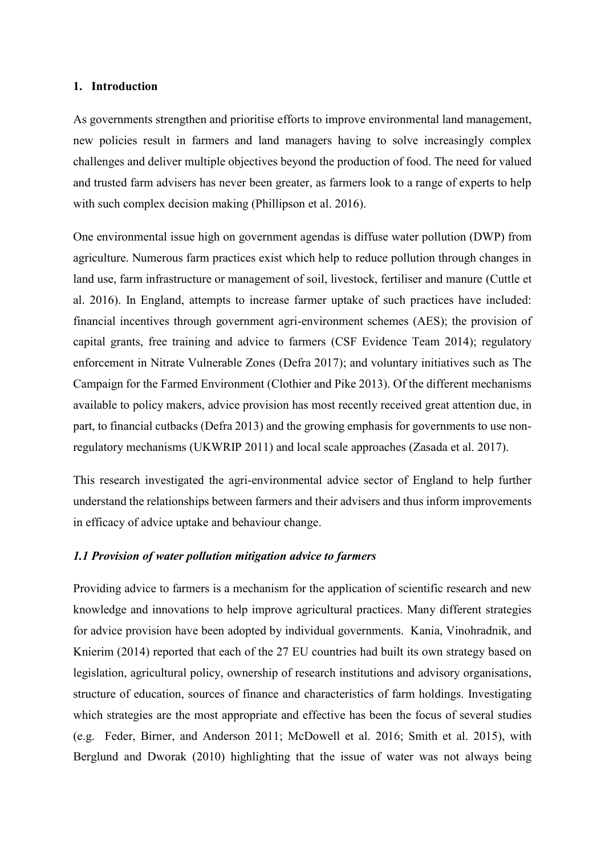#### **1. Introduction**

As governments strengthen and prioritise efforts to improve environmental land management, new policies result in farmers and land managers having to solve increasingly complex challenges and deliver multiple objectives beyond the production of food. The need for valued and trusted farm advisers has never been greater, as farmers look to a range of experts to help with such complex decision making (Phillipson et al. 2016).

One environmental issue high on government agendas is diffuse water pollution (DWP) from agriculture. Numerous farm practices exist which help to reduce pollution through changes in land use, farm infrastructure or management of soil, livestock, fertiliser and manure (Cuttle et al. 2016). In England, attempts to increase farmer uptake of such practices have included: financial incentives through government agri-environment schemes (AES); the provision of capital grants, free training and advice to farmers (CSF Evidence Team 2014); regulatory enforcement in Nitrate Vulnerable Zones (Defra 2017); and voluntary initiatives such as The Campaign for the Farmed Environment (Clothier and Pike 2013). Of the different mechanisms available to policy makers, advice provision has most recently received great attention due, in part, to financial cutbacks (Defra 2013) and the growing emphasis for governments to use nonregulatory mechanisms (UKWRIP 2011) and local scale approaches (Zasada et al. 2017).

This research investigated the agri-environmental advice sector of England to help further understand the relationships between farmers and their advisers and thus inform improvements in efficacy of advice uptake and behaviour change.

# *1.1 Provision of water pollution mitigation advice to farmers*

Providing advice to farmers is a mechanism for the application of scientific research and new knowledge and innovations to help improve agricultural practices. Many different strategies for advice provision have been adopted by individual governments. Kania, Vinohradnik, and Knierim (2014) reported that each of the 27 EU countries had built its own strategy based on legislation, agricultural policy, ownership of research institutions and advisory organisations, structure of education, sources of finance and characteristics of farm holdings. Investigating which strategies are the most appropriate and effective has been the focus of several studies (e.g. Feder, Birner, and Anderson 2011; McDowell et al. 2016; Smith et al. 2015), with Berglund and Dworak (2010) highlighting that the issue of water was not always being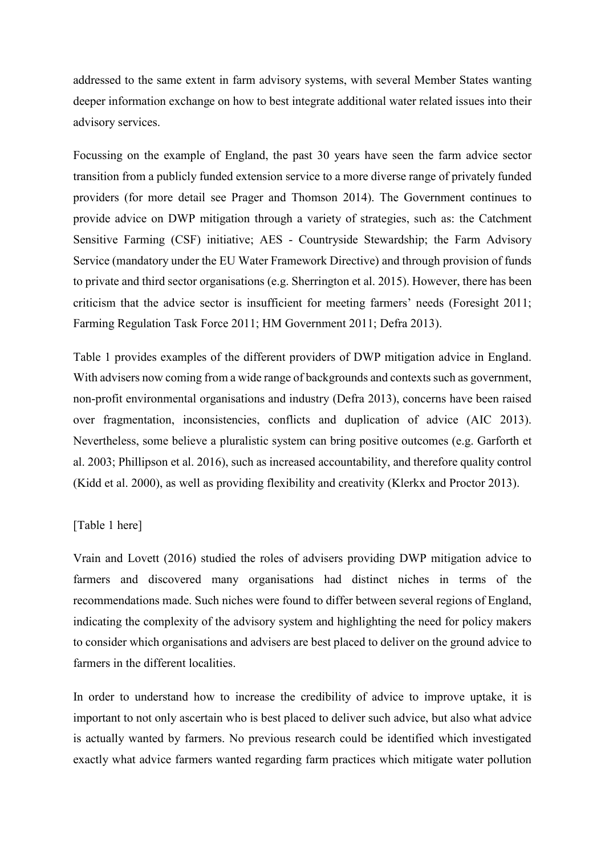addressed to the same extent in farm advisory systems, with several Member States wanting deeper information exchange on how to best integrate additional water related issues into their advisory services.

Focussing on the example of England, the past 30 years have seen the farm advice sector transition from a publicly funded extension service to a more diverse range of privately funded providers (for more detail see Prager and Thomson 2014). The Government continues to provide advice on DWP mitigation through a variety of strategies, such as: the Catchment Sensitive Farming (CSF) initiative; AES - Countryside Stewardship; the Farm Advisory Service (mandatory under the EU Water Framework Directive) and through provision of funds to private and third sector organisations (e.g. Sherrington et al. 2015). However, there has been criticism that the advice sector is insufficient for meeting farmers' needs (Foresight 2011; Farming Regulation Task Force 2011; HM Government 2011; Defra 2013).

Table 1 provides examples of the different providers of DWP mitigation advice in England. With advisers now coming from a wide range of backgrounds and contexts such as government, non-profit environmental organisations and industry (Defra 2013), concerns have been raised over fragmentation, inconsistencies, conflicts and duplication of advice (AIC 2013). Nevertheless, some believe a pluralistic system can bring positive outcomes (e.g. Garforth et al. 2003; Phillipson et al. 2016), such as increased accountability, and therefore quality control (Kidd et al. 2000), as well as providing flexibility and creativity (Klerkx and Proctor 2013).

# [Table 1 here]

Vrain and Lovett (2016) studied the roles of advisers providing DWP mitigation advice to farmers and discovered many organisations had distinct niches in terms of the recommendations made. Such niches were found to differ between several regions of England, indicating the complexity of the advisory system and highlighting the need for policy makers to consider which organisations and advisers are best placed to deliver on the ground advice to farmers in the different localities.

In order to understand how to increase the credibility of advice to improve uptake, it is important to not only ascertain who is best placed to deliver such advice, but also what advice is actually wanted by farmers. No previous research could be identified which investigated exactly what advice farmers wanted regarding farm practices which mitigate water pollution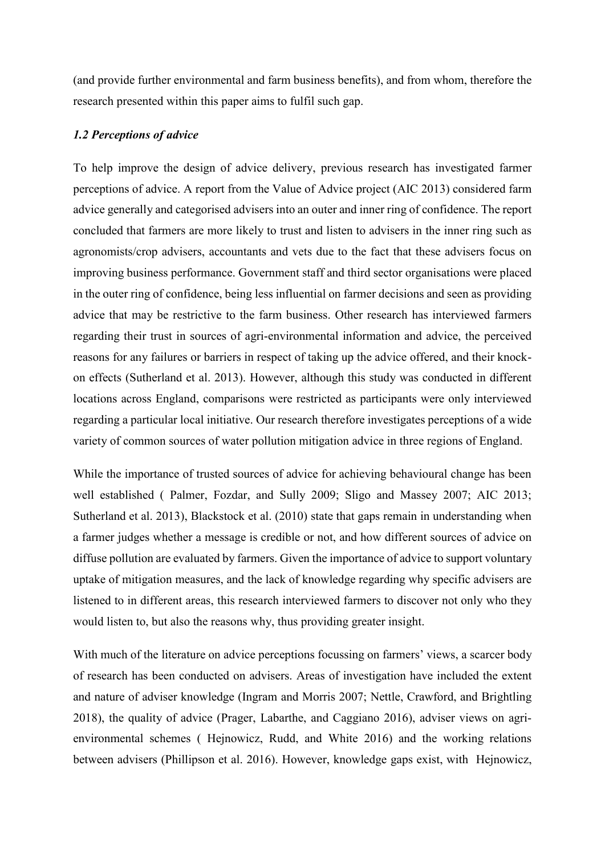(and provide further environmental and farm business benefits), and from whom, therefore the research presented within this paper aims to fulfil such gap.

#### *1.2 Perceptions of advice*

To help improve the design of advice delivery, previous research has investigated farmer perceptions of advice. A report from the Value of Advice project (AIC 2013) considered farm advice generally and categorised advisers into an outer and inner ring of confidence. The report concluded that farmers are more likely to trust and listen to advisers in the inner ring such as agronomists/crop advisers, accountants and vets due to the fact that these advisers focus on improving business performance. Government staff and third sector organisations were placed in the outer ring of confidence, being less influential on farmer decisions and seen as providing advice that may be restrictive to the farm business. Other research has interviewed farmers regarding their trust in sources of agri-environmental information and advice, the perceived reasons for any failures or barriers in respect of taking up the advice offered, and their knockon effects (Sutherland et al. 2013). However, although this study was conducted in different locations across England, comparisons were restricted as participants were only interviewed regarding a particular local initiative. Our research therefore investigates perceptions of a wide variety of common sources of water pollution mitigation advice in three regions of England.

While the importance of trusted sources of advice for achieving behavioural change has been well established ( Palmer, Fozdar, and Sully 2009; Sligo and Massey 2007; AIC 2013; Sutherland et al. 2013), Blackstock et al. (2010) state that gaps remain in understanding when a farmer judges whether a message is credible or not, and how different sources of advice on diffuse pollution are evaluated by farmers. Given the importance of advice to support voluntary uptake of mitigation measures, and the lack of knowledge regarding why specific advisers are listened to in different areas, this research interviewed farmers to discover not only who they would listen to, but also the reasons why, thus providing greater insight.

With much of the literature on advice perceptions focussing on farmers' views, a scarcer body of research has been conducted on advisers. Areas of investigation have included the extent and nature of adviser knowledge (Ingram and Morris 2007; Nettle, Crawford, and Brightling 2018), the quality of advice (Prager, Labarthe, and Caggiano 2016), adviser views on agrienvironmental schemes ( Hejnowicz, Rudd, and White 2016) and the working relations between advisers (Phillipson et al. 2016). However, knowledge gaps exist, with Hejnowicz,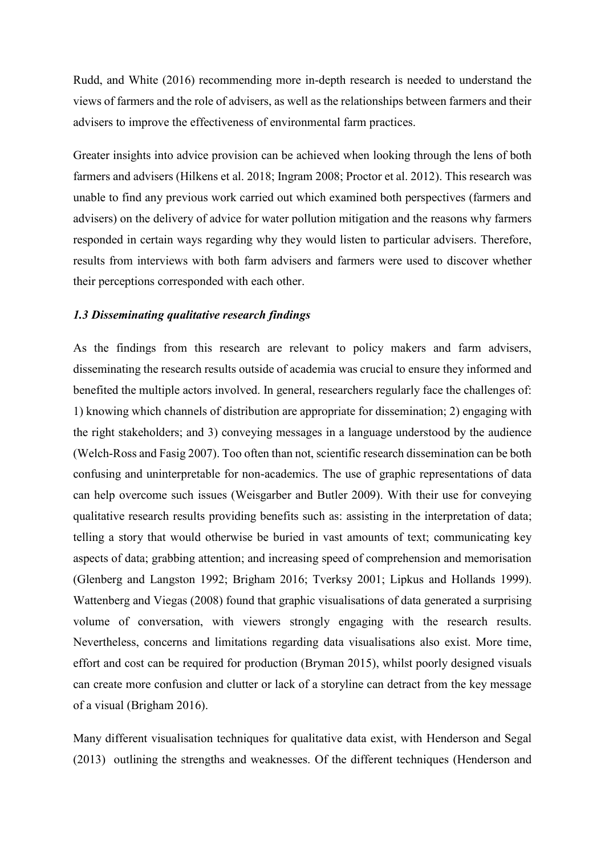Rudd, and White (2016) recommending more in-depth research is needed to understand the views of farmers and the role of advisers, as well as the relationships between farmers and their advisers to improve the effectiveness of environmental farm practices.

Greater insights into advice provision can be achieved when looking through the lens of both farmers and advisers (Hilkens et al. 2018; Ingram 2008; Proctor et al. 2012). This research was unable to find any previous work carried out which examined both perspectives (farmers and advisers) on the delivery of advice for water pollution mitigation and the reasons why farmers responded in certain ways regarding why they would listen to particular advisers. Therefore, results from interviews with both farm advisers and farmers were used to discover whether their perceptions corresponded with each other.

#### *1.3 Disseminating qualitative research findings*

As the findings from this research are relevant to policy makers and farm advisers, disseminating the research results outside of academia was crucial to ensure they informed and benefited the multiple actors involved. In general, researchers regularly face the challenges of: 1) knowing which channels of distribution are appropriate for dissemination; 2) engaging with the right stakeholders; and 3) conveying messages in a language understood by the audience (Welch-Ross and Fasig 2007). Too often than not, scientific research dissemination can be both confusing and uninterpretable for non-academics. The use of graphic representations of data can help overcome such issues (Weisgarber and Butler 2009). With their use for conveying qualitative research results providing benefits such as: assisting in the interpretation of data; telling a story that would otherwise be buried in vast amounts of text; communicating key aspects of data; grabbing attention; and increasing speed of comprehension and memorisation (Glenberg and Langston 1992; Brigham 2016; Tverksy 2001; Lipkus and Hollands 1999). Wattenberg and Viegas (2008) found that graphic visualisations of data generated a surprising volume of conversation, with viewers strongly engaging with the research results. Nevertheless, concerns and limitations regarding data visualisations also exist. More time, effort and cost can be required for production (Bryman 2015), whilst poorly designed visuals can create more confusion and clutter or lack of a storyline can detract from the key message of a visual (Brigham 2016).

Many different visualisation techniques for qualitative data exist, with Henderson and Segal (2013) outlining the strengths and weaknesses. Of the different techniques (Henderson and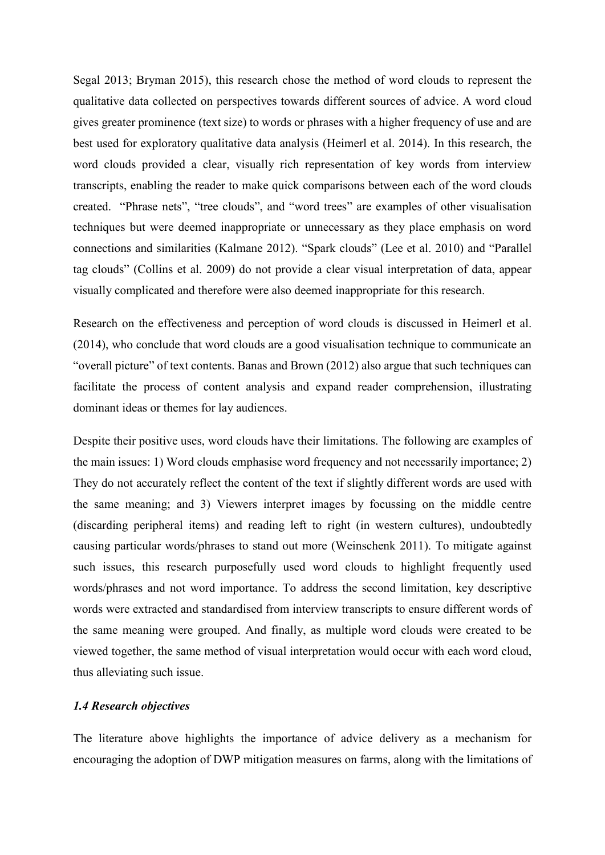Segal 2013; Bryman 2015), this research chose the method of word clouds to represent the qualitative data collected on perspectives towards different sources of advice. A word cloud gives greater prominence (text size) to words or phrases with a higher frequency of use and are best used for exploratory qualitative data analysis (Heimerl et al. 2014). In this research, the word clouds provided a clear, visually rich representation of key words from interview transcripts, enabling the reader to make quick comparisons between each of the word clouds created. "Phrase nets", "tree clouds", and "word trees" are examples of other visualisation techniques but were deemed inappropriate or unnecessary as they place emphasis on word connections and similarities (Kalmane 2012). "Spark clouds" (Lee et al. 2010) and "Parallel tag clouds" (Collins et al. 2009) do not provide a clear visual interpretation of data, appear visually complicated and therefore were also deemed inappropriate for this research.

Research on the effectiveness and perception of word clouds is discussed in Heimerl et al. (2014), who conclude that word clouds are a good visualisation technique to communicate an "overall picture" of text contents. Banas and Brown (2012) also argue that such techniques can facilitate the process of content analysis and expand reader comprehension, illustrating dominant ideas or themes for lay audiences.

Despite their positive uses, word clouds have their limitations. The following are examples of the main issues: 1) Word clouds emphasise word frequency and not necessarily importance; 2) They do not accurately reflect the content of the text if slightly different words are used with the same meaning; and 3) Viewers interpret images by focussing on the middle centre (discarding peripheral items) and reading left to right (in western cultures), undoubtedly causing particular words/phrases to stand out more (Weinschenk 2011). To mitigate against such issues, this research purposefully used word clouds to highlight frequently used words/phrases and not word importance. To address the second limitation, key descriptive words were extracted and standardised from interview transcripts to ensure different words of the same meaning were grouped. And finally, as multiple word clouds were created to be viewed together, the same method of visual interpretation would occur with each word cloud, thus alleviating such issue.

# *1.4 Research objectives*

The literature above highlights the importance of advice delivery as a mechanism for encouraging the adoption of DWP mitigation measures on farms, along with the limitations of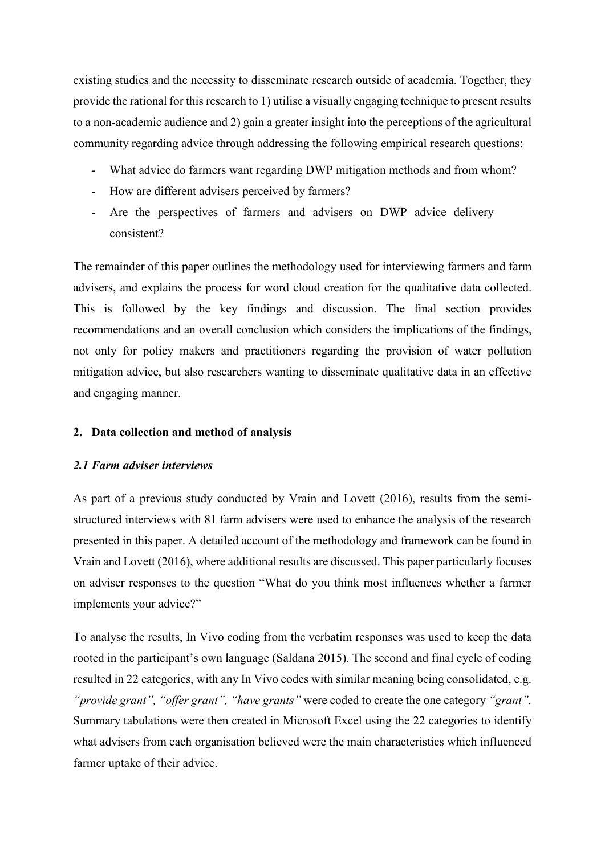existing studies and the necessity to disseminate research outside of academia. Together, they provide the rational for this research to 1) utilise a visually engaging technique to present results to a non-academic audience and 2) gain a greater insight into the perceptions of the agricultural community regarding advice through addressing the following empirical research questions:

- What advice do farmers want regarding DWP mitigation methods and from whom?
- How are different advisers perceived by farmers?
- Are the perspectives of farmers and advisers on DWP advice delivery consistent?

The remainder of this paper outlines the methodology used for interviewing farmers and farm advisers, and explains the process for word cloud creation for the qualitative data collected. This is followed by the key findings and discussion. The final section provides recommendations and an overall conclusion which considers the implications of the findings, not only for policy makers and practitioners regarding the provision of water pollution mitigation advice, but also researchers wanting to disseminate qualitative data in an effective and engaging manner.

# **2. Data collection and method of analysis**

#### *2.1 Farm adviser interviews*

As part of a previous study conducted by Vrain and Lovett (2016), results from the semistructured interviews with 81 farm advisers were used to enhance the analysis of the research presented in this paper. A detailed account of the methodology and framework can be found in Vrain and Lovett (2016), where additional results are discussed. This paper particularly focuses on adviser responses to the question "What do you think most influences whether a farmer implements your advice?"

To analyse the results, In Vivo coding from the verbatim responses was used to keep the data rooted in the participant's own language (Saldana 2015). The second and final cycle of coding resulted in 22 categories, with any In Vivo codes with similar meaning being consolidated, e.g. *"provide grant", "offer grant", "have grants"* were coded to create the one category *"grant".* Summary tabulations were then created in Microsoft Excel using the 22 categories to identify what advisers from each organisation believed were the main characteristics which influenced farmer uptake of their advice.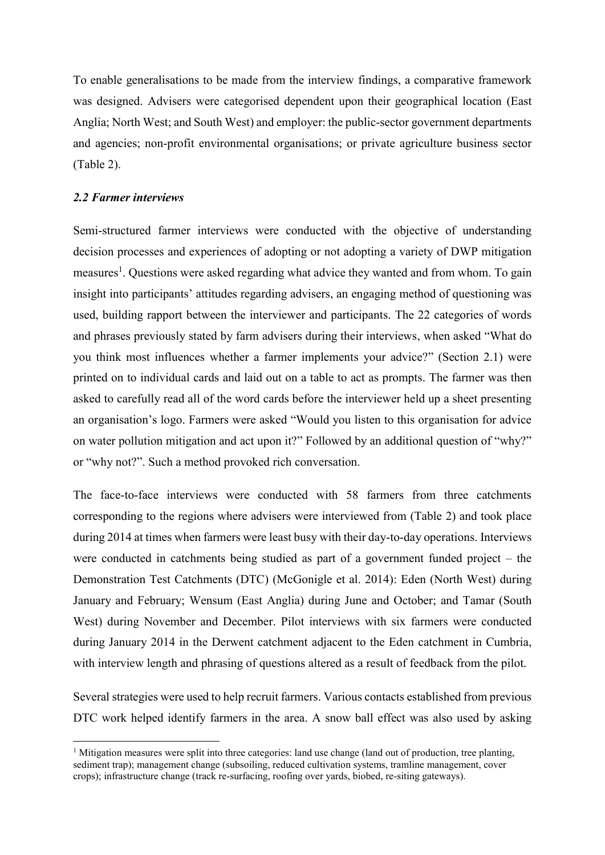To enable generalisations to be made from the interview findings, a comparative framework was designed. Advisers were categorised dependent upon their geographical location (East Anglia; North West; and South West) and employer: the public-sector government departments and agencies; non-profit environmental organisations; or private agriculture business sector (Table 2).

### *2.2 Farmer interviews*

1

Semi-structured farmer interviews were conducted with the objective of understanding decision processes and experiences of adopting or not adopting a variety of DWP mitigation measures<sup>1</sup>. Questions were asked regarding what advice they wanted and from whom. To gain insight into participants' attitudes regarding advisers, an engaging method of questioning was used, building rapport between the interviewer and participants. The 22 categories of words and phrases previously stated by farm advisers during their interviews, when asked "What do you think most influences whether a farmer implements your advice?" (Section 2.1) were printed on to individual cards and laid out on a table to act as prompts. The farmer was then asked to carefully read all of the word cards before the interviewer held up a sheet presenting an organisation's logo. Farmers were asked "Would you listen to this organisation for advice on water pollution mitigation and act upon it?" Followed by an additional question of "why?" or "why not?". Such a method provoked rich conversation.

The face-to-face interviews were conducted with 58 farmers from three catchments corresponding to the regions where advisers were interviewed from (Table 2) and took place during 2014 at times when farmers were least busy with their day-to-day operations. Interviews were conducted in catchments being studied as part of a government funded project – the Demonstration Test Catchments (DTC) (McGonigle et al. 2014): Eden (North West) during January and February; Wensum (East Anglia) during June and October; and Tamar (South West) during November and December. Pilot interviews with six farmers were conducted during January 2014 in the Derwent catchment adjacent to the Eden catchment in Cumbria, with interview length and phrasing of questions altered as a result of feedback from the pilot.

Several strategies were used to help recruit farmers. Various contacts established from previous DTC work helped identify farmers in the area. A snow ball effect was also used by asking

<sup>&</sup>lt;sup>1</sup> Mitigation measures were split into three categories: land use change (land out of production, tree planting, sediment trap); management change (subsoiling, reduced cultivation systems, tramline management, cover crops); infrastructure change (track re-surfacing, roofing over yards, biobed, re-siting gateways).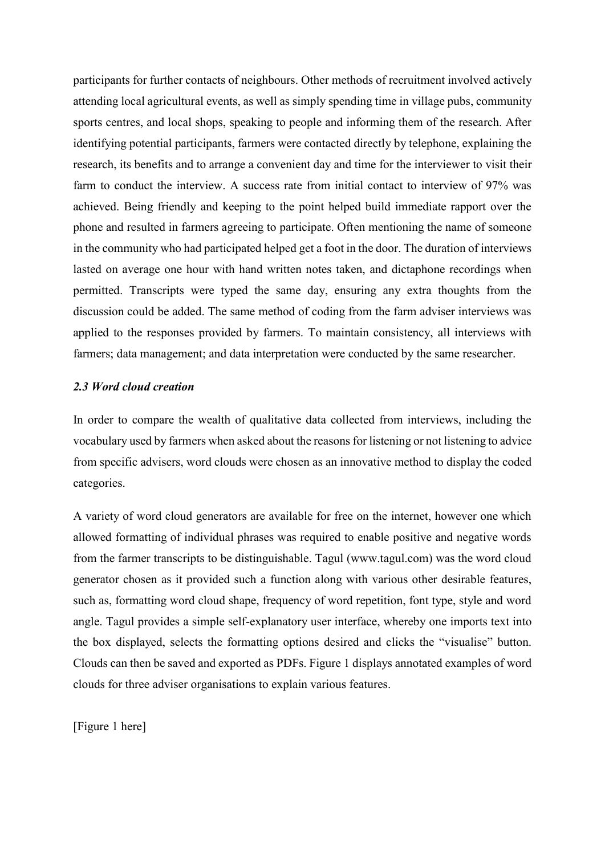participants for further contacts of neighbours. Other methods of recruitment involved actively attending local agricultural events, as well as simply spending time in village pubs, community sports centres, and local shops, speaking to people and informing them of the research. After identifying potential participants, farmers were contacted directly by telephone, explaining the research, its benefits and to arrange a convenient day and time for the interviewer to visit their farm to conduct the interview. A success rate from initial contact to interview of 97% was achieved. Being friendly and keeping to the point helped build immediate rapport over the phone and resulted in farmers agreeing to participate. Often mentioning the name of someone in the community who had participated helped get a foot in the door. The duration of interviews lasted on average one hour with hand written notes taken, and dictaphone recordings when permitted. Transcripts were typed the same day, ensuring any extra thoughts from the discussion could be added. The same method of coding from the farm adviser interviews was applied to the responses provided by farmers. To maintain consistency, all interviews with farmers; data management; and data interpretation were conducted by the same researcher.

#### *2.3 Word cloud creation*

In order to compare the wealth of qualitative data collected from interviews, including the vocabulary used by farmers when asked about the reasons for listening or not listening to advice from specific advisers, word clouds were chosen as an innovative method to display the coded categories.

A variety of word cloud generators are available for free on the internet, however one which allowed formatting of individual phrases was required to enable positive and negative words from the farmer transcripts to be distinguishable. Tagul (www.tagul.com) was the word cloud generator chosen as it provided such a function along with various other desirable features, such as, formatting word cloud shape, frequency of word repetition, font type, style and word angle. Tagul provides a simple self-explanatory user interface, whereby one imports text into the box displayed, selects the formatting options desired and clicks the "visualise" button. Clouds can then be saved and exported as PDFs. Figure 1 displays annotated examples of word clouds for three adviser organisations to explain various features.

[Figure 1 here]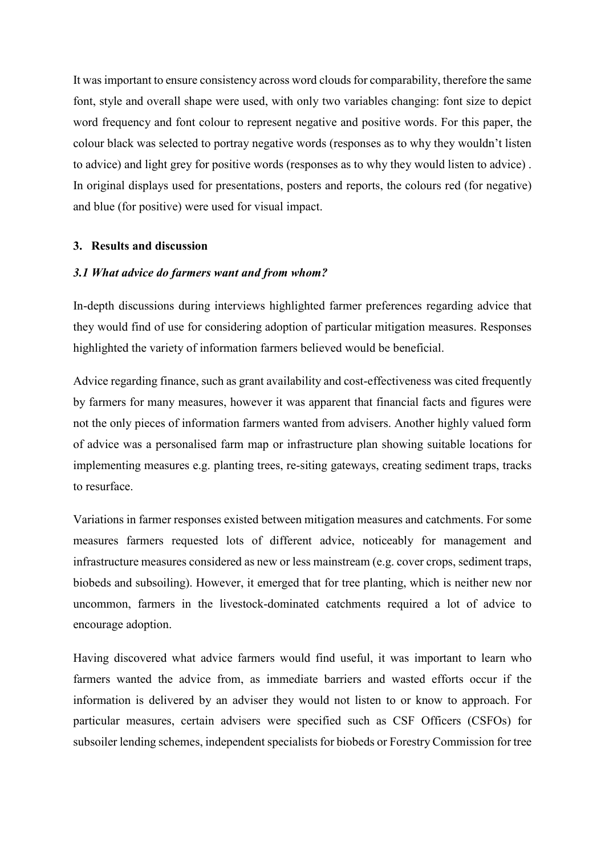It was important to ensure consistency across word clouds for comparability, therefore the same font, style and overall shape were used, with only two variables changing: font size to depict word frequency and font colour to represent negative and positive words. For this paper, the colour black was selected to portray negative words (responses as to why they wouldn't listen to advice) and light grey for positive words (responses as to why they would listen to advice) . In original displays used for presentations, posters and reports, the colours red (for negative) and blue (for positive) were used for visual impact.

#### **3. Results and discussion**

#### *3.1 What advice do farmers want and from whom?*

In-depth discussions during interviews highlighted farmer preferences regarding advice that they would find of use for considering adoption of particular mitigation measures. Responses highlighted the variety of information farmers believed would be beneficial.

Advice regarding finance, such as grant availability and cost-effectiveness was cited frequently by farmers for many measures, however it was apparent that financial facts and figures were not the only pieces of information farmers wanted from advisers. Another highly valued form of advice was a personalised farm map or infrastructure plan showing suitable locations for implementing measures e.g. planting trees, re-siting gateways, creating sediment traps, tracks to resurface.

Variations in farmer responses existed between mitigation measures and catchments. For some measures farmers requested lots of different advice, noticeably for management and infrastructure measures considered as new or less mainstream (e.g. cover crops, sediment traps, biobeds and subsoiling). However, it emerged that for tree planting, which is neither new nor uncommon, farmers in the livestock-dominated catchments required a lot of advice to encourage adoption.

Having discovered what advice farmers would find useful, it was important to learn who farmers wanted the advice from, as immediate barriers and wasted efforts occur if the information is delivered by an adviser they would not listen to or know to approach. For particular measures, certain advisers were specified such as CSF Officers (CSFOs) for subsoiler lending schemes, independent specialists for biobeds or Forestry Commission for tree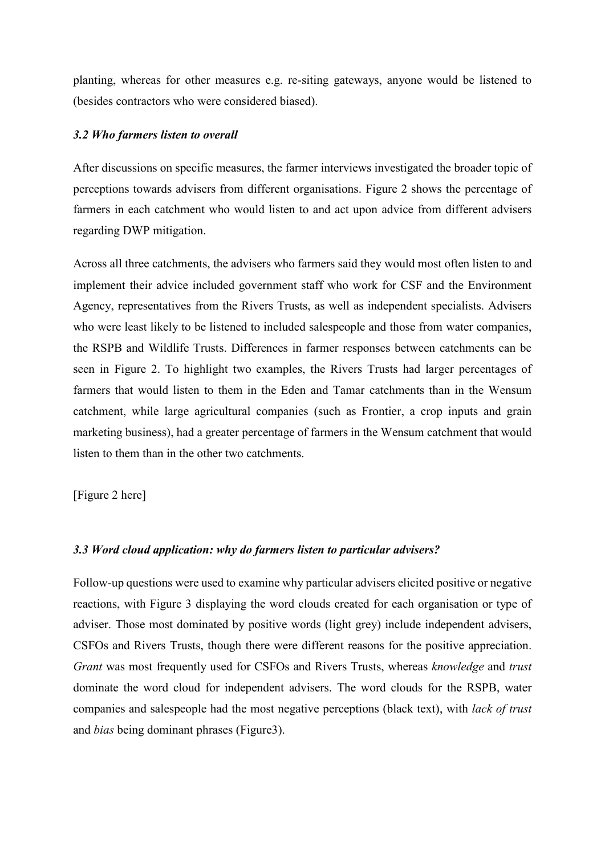planting, whereas for other measures e.g. re-siting gateways, anyone would be listened to (besides contractors who were considered biased).

#### *3.2 Who farmers listen to overall*

After discussions on specific measures, the farmer interviews investigated the broader topic of perceptions towards advisers from different organisations. Figure 2 shows the percentage of farmers in each catchment who would listen to and act upon advice from different advisers regarding DWP mitigation.

Across all three catchments, the advisers who farmers said they would most often listen to and implement their advice included government staff who work for CSF and the Environment Agency, representatives from the Rivers Trusts, as well as independent specialists. Advisers who were least likely to be listened to included salespeople and those from water companies, the RSPB and Wildlife Trusts. Differences in farmer responses between catchments can be seen in Figure 2. To highlight two examples, the Rivers Trusts had larger percentages of farmers that would listen to them in the Eden and Tamar catchments than in the Wensum catchment, while large agricultural companies (such as Frontier, a crop inputs and grain marketing business), had a greater percentage of farmers in the Wensum catchment that would listen to them than in the other two catchments.

[Figure 2 here]

## *3.3 Word cloud application: why do farmers listen to particular advisers?*

Follow-up questions were used to examine why particular advisers elicited positive or negative reactions, with Figure 3 displaying the word clouds created for each organisation or type of adviser. Those most dominated by positive words (light grey) include independent advisers, CSFOs and Rivers Trusts, though there were different reasons for the positive appreciation. *Grant* was most frequently used for CSFOs and Rivers Trusts, whereas *knowledge* and *trust*  dominate the word cloud for independent advisers. The word clouds for the RSPB, water companies and salespeople had the most negative perceptions (black text), with *lack of trust* and *bias* being dominant phrases (Figure3).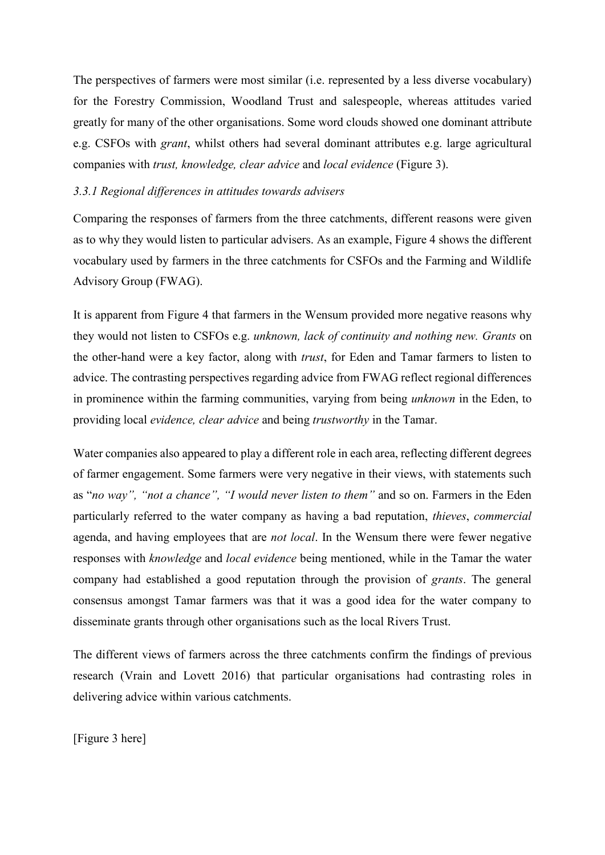The perspectives of farmers were most similar (i.e. represented by a less diverse vocabulary) for the Forestry Commission, Woodland Trust and salespeople, whereas attitudes varied greatly for many of the other organisations. Some word clouds showed one dominant attribute e.g. CSFOs with *grant*, whilst others had several dominant attributes e.g. large agricultural companies with *trust, knowledge, clear advice* and *local evidence* (Figure 3).

## *3.3.1 Regional differences in attitudes towards advisers*

Comparing the responses of farmers from the three catchments, different reasons were given as to why they would listen to particular advisers. As an example, Figure 4 shows the different vocabulary used by farmers in the three catchments for CSFOs and the Farming and Wildlife Advisory Group (FWAG).

It is apparent from Figure 4 that farmers in the Wensum provided more negative reasons why they would not listen to CSFOs e.g. *unknown, lack of continuity and nothing new. Grants* on the other-hand were a key factor, along with *trust*, for Eden and Tamar farmers to listen to advice. The contrasting perspectives regarding advice from FWAG reflect regional differences in prominence within the farming communities, varying from being *unknown* in the Eden, to providing local *evidence, clear advice* and being *trustworthy* in the Tamar.

Water companies also appeared to play a different role in each area, reflecting different degrees of farmer engagement. Some farmers were very negative in their views, with statements such as "*no way", "not a chance", "I would never listen to them"* and so on. Farmers in the Eden particularly referred to the water company as having a bad reputation, *thieves*, *commercial* agenda, and having employees that are *not local*. In the Wensum there were fewer negative responses with *knowledge* and *local evidence* being mentioned, while in the Tamar the water company had established a good reputation through the provision of *grants*. The general consensus amongst Tamar farmers was that it was a good idea for the water company to disseminate grants through other organisations such as the local Rivers Trust.

The different views of farmers across the three catchments confirm the findings of previous research (Vrain and Lovett 2016) that particular organisations had contrasting roles in delivering advice within various catchments.

[Figure 3 here]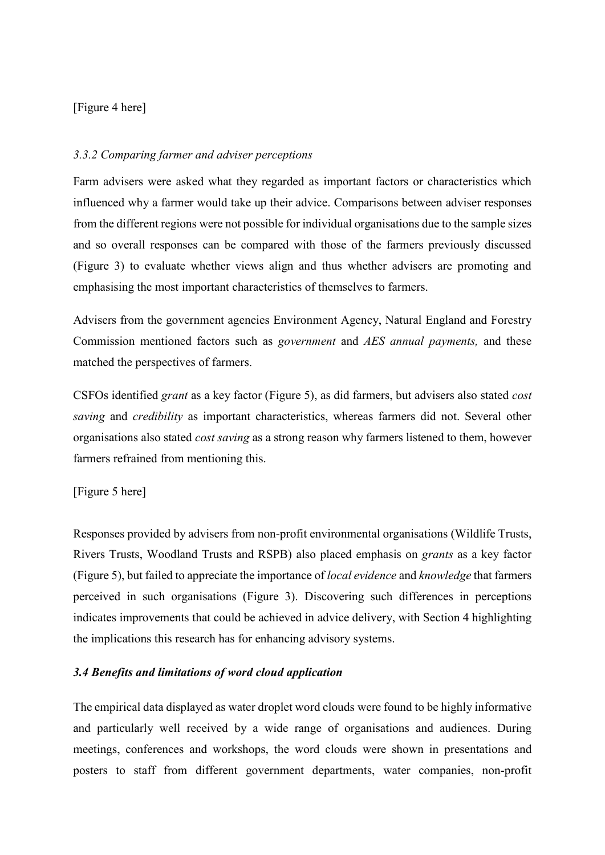# [Figure 4 here]

# *3.3.2 Comparing farmer and adviser perceptions*

Farm advisers were asked what they regarded as important factors or characteristics which influenced why a farmer would take up their advice. Comparisons between adviser responses from the different regions were not possible for individual organisations due to the sample sizes and so overall responses can be compared with those of the farmers previously discussed (Figure 3) to evaluate whether views align and thus whether advisers are promoting and emphasising the most important characteristics of themselves to farmers.

Advisers from the government agencies Environment Agency, Natural England and Forestry Commission mentioned factors such as *government* and *AES annual payments,* and these matched the perspectives of farmers.

CSFOs identified *grant* as a key factor (Figure 5), as did farmers, but advisers also stated *cost saving* and *credibility* as important characteristics, whereas farmers did not. Several other organisations also stated *cost saving* as a strong reason why farmers listened to them, however farmers refrained from mentioning this.

## [Figure 5 here]

Responses provided by advisers from non-profit environmental organisations (Wildlife Trusts, Rivers Trusts, Woodland Trusts and RSPB) also placed emphasis on *grants* as a key factor (Figure 5), but failed to appreciate the importance of *local evidence* and *knowledge* that farmers perceived in such organisations (Figure 3). Discovering such differences in perceptions indicates improvements that could be achieved in advice delivery, with Section 4 highlighting the implications this research has for enhancing advisory systems.

# *3.4 Benefits and limitations of word cloud application*

The empirical data displayed as water droplet word clouds were found to be highly informative and particularly well received by a wide range of organisations and audiences. During meetings, conferences and workshops, the word clouds were shown in presentations and posters to staff from different government departments, water companies, non-profit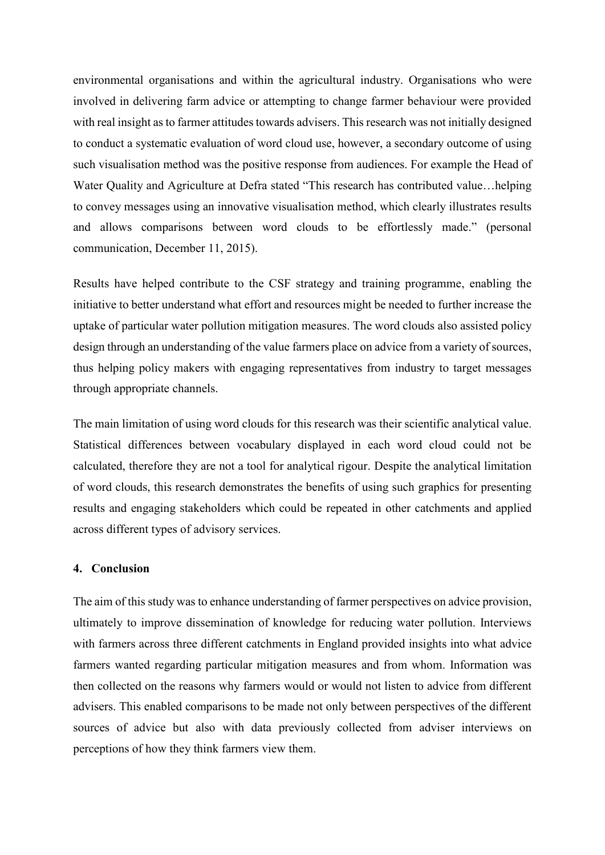environmental organisations and within the agricultural industry. Organisations who were involved in delivering farm advice or attempting to change farmer behaviour were provided with real insight as to farmer attitudes towards advisers. This research was not initially designed to conduct a systematic evaluation of word cloud use, however, a secondary outcome of using such visualisation method was the positive response from audiences. For example the Head of Water Quality and Agriculture at Defra stated "This research has contributed value…helping to convey messages using an innovative visualisation method, which clearly illustrates results and allows comparisons between word clouds to be effortlessly made." (personal communication, December 11, 2015).

Results have helped contribute to the CSF strategy and training programme, enabling the initiative to better understand what effort and resources might be needed to further increase the uptake of particular water pollution mitigation measures. The word clouds also assisted policy design through an understanding of the value farmers place on advice from a variety of sources, thus helping policy makers with engaging representatives from industry to target messages through appropriate channels.

The main limitation of using word clouds for this research was their scientific analytical value. Statistical differences between vocabulary displayed in each word cloud could not be calculated, therefore they are not a tool for analytical rigour. Despite the analytical limitation of word clouds, this research demonstrates the benefits of using such graphics for presenting results and engaging stakeholders which could be repeated in other catchments and applied across different types of advisory services.

#### **4. Conclusion**

The aim of this study was to enhance understanding of farmer perspectives on advice provision, ultimately to improve dissemination of knowledge for reducing water pollution. Interviews with farmers across three different catchments in England provided insights into what advice farmers wanted regarding particular mitigation measures and from whom. Information was then collected on the reasons why farmers would or would not listen to advice from different advisers. This enabled comparisons to be made not only between perspectives of the different sources of advice but also with data previously collected from adviser interviews on perceptions of how they think farmers view them.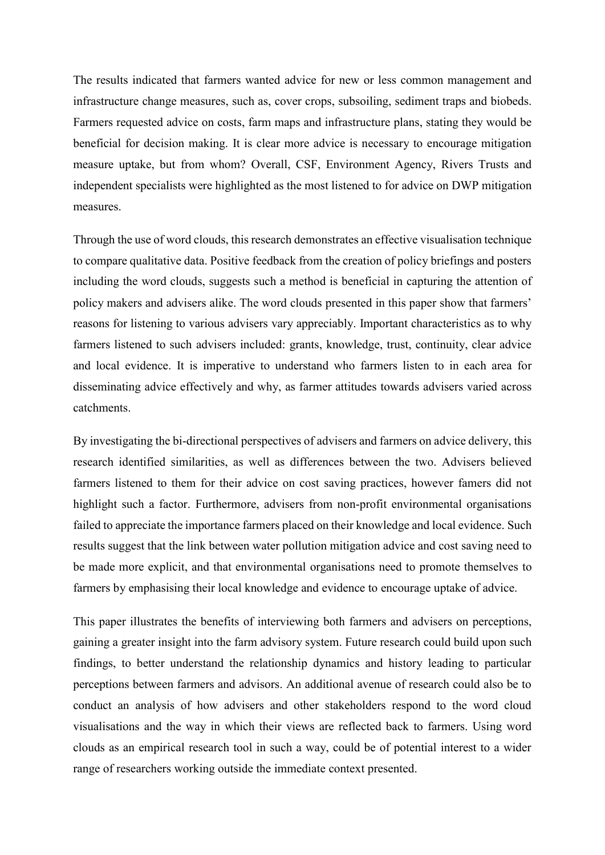The results indicated that farmers wanted advice for new or less common management and infrastructure change measures, such as, cover crops, subsoiling, sediment traps and biobeds. Farmers requested advice on costs, farm maps and infrastructure plans, stating they would be beneficial for decision making. It is clear more advice is necessary to encourage mitigation measure uptake, but from whom? Overall, CSF, Environment Agency, Rivers Trusts and independent specialists were highlighted as the most listened to for advice on DWP mitigation measures.

Through the use of word clouds, this research demonstrates an effective visualisation technique to compare qualitative data. Positive feedback from the creation of policy briefings and posters including the word clouds, suggests such a method is beneficial in capturing the attention of policy makers and advisers alike. The word clouds presented in this paper show that farmers' reasons for listening to various advisers vary appreciably. Important characteristics as to why farmers listened to such advisers included: grants, knowledge, trust, continuity, clear advice and local evidence. It is imperative to understand who farmers listen to in each area for disseminating advice effectively and why, as farmer attitudes towards advisers varied across catchments.

By investigating the bi-directional perspectives of advisers and farmers on advice delivery, this research identified similarities, as well as differences between the two. Advisers believed farmers listened to them for their advice on cost saving practices, however famers did not highlight such a factor. Furthermore, advisers from non-profit environmental organisations failed to appreciate the importance farmers placed on their knowledge and local evidence. Such results suggest that the link between water pollution mitigation advice and cost saving need to be made more explicit, and that environmental organisations need to promote themselves to farmers by emphasising their local knowledge and evidence to encourage uptake of advice.

This paper illustrates the benefits of interviewing both farmers and advisers on perceptions, gaining a greater insight into the farm advisory system. Future research could build upon such findings, to better understand the relationship dynamics and history leading to particular perceptions between farmers and advisors. An additional avenue of research could also be to conduct an analysis of how advisers and other stakeholders respond to the word cloud visualisations and the way in which their views are reflected back to farmers. Using word clouds as an empirical research tool in such a way, could be of potential interest to a wider range of researchers working outside the immediate context presented.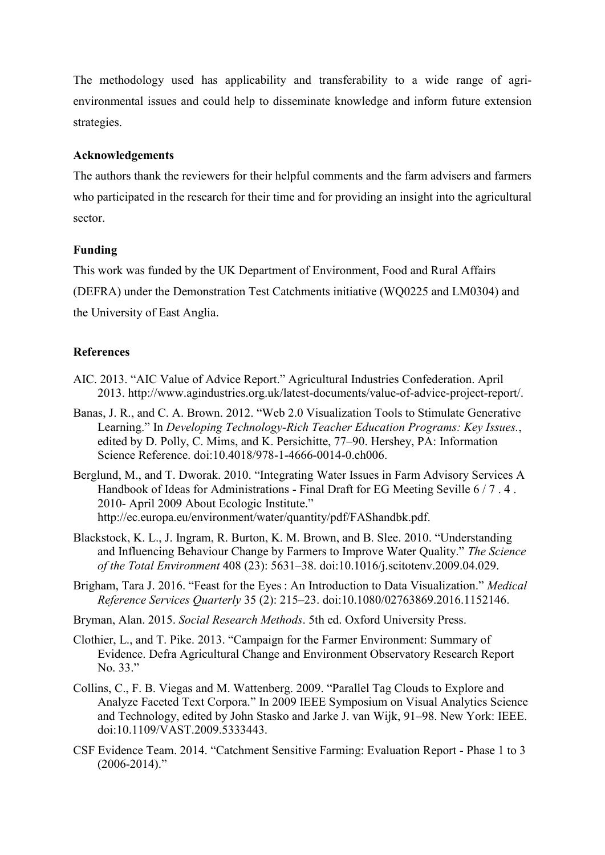The methodology used has applicability and transferability to a wide range of agrienvironmental issues and could help to disseminate knowledge and inform future extension strategies.

# **Acknowledgements**

The authors thank the reviewers for their helpful comments and the farm advisers and farmers who participated in the research for their time and for providing an insight into the agricultural sector.

# **Funding**

This work was funded by the UK Department of Environment, Food and Rural Affairs (DEFRA) under the Demonstration Test Catchments initiative (WQ0225 and LM0304) and the University of East Anglia.

#### **References**

- AIC. 2013. "AIC Value of Advice Report." Agricultural Industries Confederation. April 2013. http://www.agindustries.org.uk/latest-documents/value-of-advice-project-report/.
- Banas, J. R., and C. A. Brown. 2012. "Web 2.0 Visualization Tools to Stimulate Generative Learning." In *Developing Technology-Rich Teacher Education Programs: Key Issues.*, edited by D. Polly, C. Mims, and K. Persichitte, 77–90. Hershey, PA: Information Science Reference. doi:10.4018/978-1-4666-0014-0.ch006.
- Berglund, M., and T. Dworak. 2010. "Integrating Water Issues in Farm Advisory Services A Handbook of Ideas for Administrations - Final Draft for EG Meeting Seville 6 / 7 . 4 . 2010- April 2009 About Ecologic Institute." http://ec.europa.eu/environment/water/quantity/pdf/FAShandbk.pdf.
- Blackstock, K. L., J. Ingram, R. Burton, K. M. Brown, and B. Slee. 2010. "Understanding and Influencing Behaviour Change by Farmers to Improve Water Quality." *The Science of the Total Environment* 408 (23): 5631–38. doi:10.1016/j.scitotenv.2009.04.029.
- Brigham, Tara J. 2016. "Feast for the Eyes : An Introduction to Data Visualization." *Medical Reference Services Quarterly* 35 (2): 215–23. doi:10.1080/02763869.2016.1152146.
- Bryman, Alan. 2015. *Social Research Methods*. 5th ed. Oxford University Press.
- Clothier, L., and T. Pike. 2013. "Campaign for the Farmer Environment: Summary of Evidence. Defra Agricultural Change and Environment Observatory Research Report No. 33."
- Collins, C., F. B. Viegas and M. Wattenberg. 2009. "Parallel Tag Clouds to Explore and Analyze Faceted Text Corpora." In 2009 IEEE Symposium on Visual Analytics Science and Technology, edited by John Stasko and Jarke J. van Wijk, 91–98. New York: IEEE. doi:10.1109/VAST.2009.5333443.
- CSF Evidence Team. 2014. "Catchment Sensitive Farming: Evaluation Report Phase 1 to 3  $(2006 - 2014)$ ."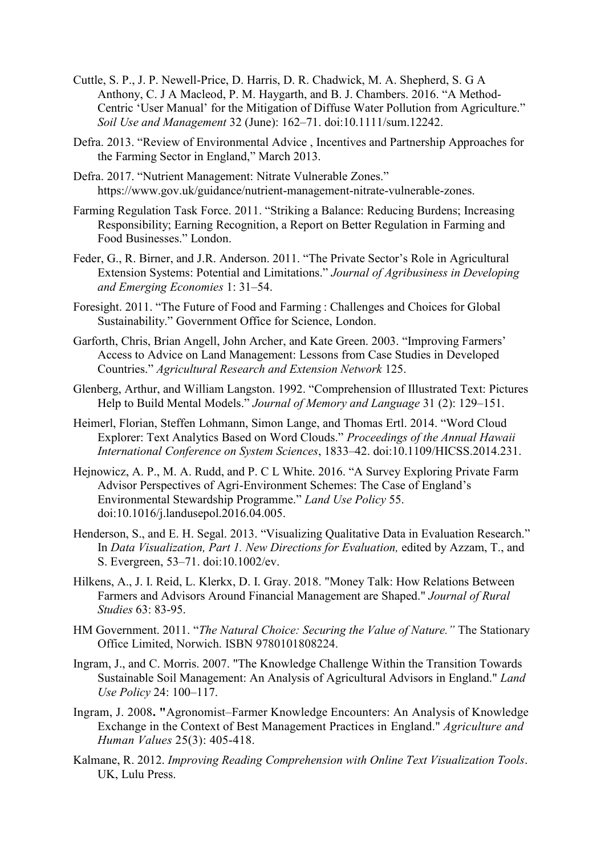- Cuttle, S. P., J. P. Newell-Price, D. Harris, D. R. Chadwick, M. A. Shepherd, S. G A Anthony, C. J A Macleod, P. M. Haygarth, and B. J. Chambers. 2016. "A Method-Centric 'User Manual' for the Mitigation of Diffuse Water Pollution from Agriculture." *Soil Use and Management* 32 (June): 162–71. doi:10.1111/sum.12242.
- Defra. 2013. "Review of Environmental Advice , Incentives and Partnership Approaches for the Farming Sector in England," March 2013.
- Defra. 2017. "Nutrient Management: Nitrate Vulnerable Zones." https://www.gov.uk/guidance/nutrient-management-nitrate-vulnerable-zones.
- Farming Regulation Task Force. 2011. "Striking a Balance: Reducing Burdens; Increasing Responsibility; Earning Recognition, a Report on Better Regulation in Farming and Food Businesses." London.
- Feder, G., R. Birner, and J.R. Anderson. 2011. "The Private Sector's Role in Agricultural Extension Systems: Potential and Limitations." *Journal of Agribusiness in Developing and Emerging Economies* 1: 31–54.
- Foresight. 2011. "The Future of Food and Farming : Challenges and Choices for Global Sustainability." Government Office for Science, London.
- Garforth, Chris, Brian Angell, John Archer, and Kate Green. 2003. "Improving Farmers' Access to Advice on Land Management: Lessons from Case Studies in Developed Countries." *Agricultural Research and Extension Network* 125.
- Glenberg, Arthur, and William Langston. 1992. "Comprehension of Illustrated Text: Pictures Help to Build Mental Models." *Journal of Memory and Language* 31 (2): 129–151.
- Heimerl, Florian, Steffen Lohmann, Simon Lange, and Thomas Ertl. 2014. "Word Cloud Explorer: Text Analytics Based on Word Clouds." *Proceedings of the Annual Hawaii International Conference on System Sciences*, 1833–42. doi:10.1109/HICSS.2014.231.
- Hejnowicz, A. P., M. A. Rudd, and P. C L White. 2016. "A Survey Exploring Private Farm Advisor Perspectives of Agri-Environment Schemes: The Case of England's Environmental Stewardship Programme." *Land Use Policy* 55. doi:10.1016/j.landusepol.2016.04.005.
- Henderson, S., and E. H. Segal. 2013. "Visualizing Qualitative Data in Evaluation Research." In *Data Visualization, Part 1. New Directions for Evaluation, edited by Azzam, T., and* S. Evergreen, 53–71. doi:10.1002/ev.
- Hilkens, A., J. I. Reid, L. Klerkx, D. I. Gray. 2018. "Money Talk: How Relations Between Farmers and Advisors Around Financial Management are Shaped." *Journal of Rural Studies* 63: 83-95.
- HM Government. 2011. "*The Natural Choice: Securing the Value of Nature."* The Stationary Office Limited, Norwich. ISBN 9780101808224.
- Ingram, J., and C. Morris. 2007. "The Knowledge Challenge Within the Transition Towards Sustainable Soil Management: An Analysis of Agricultural Advisors in England." *Land Use Policy* 24: 100–117.
- Ingram, J. 2008**. "**Agronomist–Farmer Knowledge Encounters: An Analysis of Knowledge Exchange in the Context of Best Management Practices in England." *Agriculture and Human Values* 25(3): 405-418.
- Kalmane, R. 2012. *Improving Reading Comprehension with Online Text Visualization Tools*. UK, Lulu Press.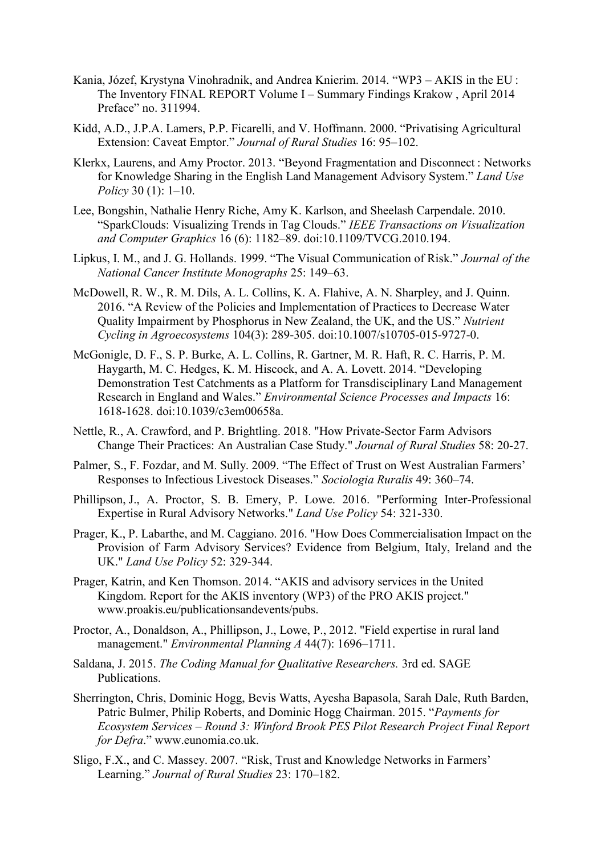- Kania, Józef, Krystyna Vinohradnik, and Andrea Knierim. 2014. "WP3 AKIS in the EU : The Inventory FINAL REPORT Volume I – Summary Findings Krakow , April 2014 Preface" no. 311994.
- Kidd, A.D., J.P.A. Lamers, P.P. Ficarelli, and V. Hoffmann. 2000. "Privatising Agricultural Extension: Caveat Emptor." *Journal of Rural Studies* 16: 95–102.
- Klerkx, Laurens, and Amy Proctor. 2013. "Beyond Fragmentation and Disconnect: Networks for Knowledge Sharing in the English Land Management Advisory System." *Land Use Policy* 30 (1): 1–10.
- Lee, Bongshin, Nathalie Henry Riche, Amy K. Karlson, and Sheelash Carpendale. 2010. "SparkClouds: Visualizing Trends in Tag Clouds." *IEEE Transactions on Visualization and Computer Graphics* 16 (6): 1182–89. doi:10.1109/TVCG.2010.194.
- Lipkus, I. M., and J. G. Hollands. 1999. "The Visual Communication of Risk." *Journal of the National Cancer Institute Monographs* 25: 149–63.
- McDowell, R. W., R. M. Dils, A. L. Collins, K. A. Flahive, A. N. Sharpley, and J. Quinn. 2016. "A Review of the Policies and Implementation of Practices to Decrease Water Quality Impairment by Phosphorus in New Zealand, the UK, and the US." *Nutrient Cycling in Agroecosystems* 104(3): 289-305. doi:10.1007/s10705-015-9727-0.
- McGonigle, D. F., S. P. Burke, A. L. Collins, R. Gartner, M. R. Haft, R. C. Harris, P. M. Haygarth, M. C. Hedges, K. M. Hiscock, and A. A. Lovett. 2014. "Developing Demonstration Test Catchments as a Platform for Transdisciplinary Land Management Research in England and Wales." *Environmental Science Processes and Impacts* 16: 1618-1628. doi:10.1039/c3em00658a.
- Nettle, R., A. Crawford, and P. Brightling. 2018. "How Private-Sector Farm Advisors Change Their Practices: An Australian Case Study." *Journal of Rural Studies* 58: 20-27.
- Palmer, S., F. Fozdar, and M. Sully. 2009. "The Effect of Trust on West Australian Farmers' Responses to Infectious Livestock Diseases." *Sociologia Ruralis* 49: 360–74.
- Phillipson, J., A. Proctor, S. B. Emery, P. Lowe. 2016. "Performing Inter-Professional Expertise in Rural Advisory Networks." *Land Use Policy* 54: 321-330.
- Prager, K., P. Labarthe, and M. Caggiano. 2016. "How Does Commercialisation Impact on the Provision of Farm Advisory Services? Evidence from Belgium, Italy, Ireland and the UK." *Land Use Policy* 52: 329-344.
- Prager, Katrin, and Ken Thomson. 2014. "AKIS and advisory services in the United Kingdom. Report for the AKIS inventory (WP3) of the PRO AKIS project." www.proakis.eu/publicationsandevents/pubs.
- Proctor, A., Donaldson, A., Phillipson, J., Lowe, P., 2012. "Field expertise in rural land management." *Environmental Planning A* 44(7): 1696–1711.
- Saldana, J. 2015. *The Coding Manual for Qualitative Researchers.* 3rd ed. SAGE Publications.
- Sherrington, Chris, Dominic Hogg, Bevis Watts, Ayesha Bapasola, Sarah Dale, Ruth Barden, Patric Bulmer, Philip Roberts, and Dominic Hogg Chairman. 2015. "*Payments for Ecosystem Services – Round 3: Winford Brook PES Pilot Research Project Final Report for Defra*." www.eunomia.co.uk.
- Sligo, F.X., and C. Massey. 2007. "Risk, Trust and Knowledge Networks in Farmers' Learning." *Journal of Rural Studies* 23: 170–182.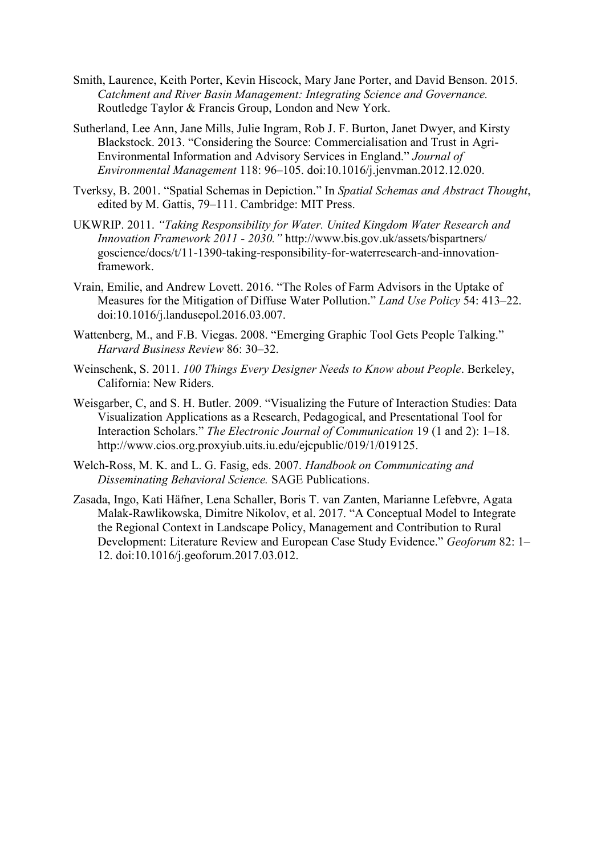- Smith, Laurence, Keith Porter, Kevin Hiscock, Mary Jane Porter, and David Benson. 2015. *Catchment and River Basin Management: Integrating Science and Governance.* Routledge Taylor & Francis Group, London and New York.
- Sutherland, Lee Ann, Jane Mills, Julie Ingram, Rob J. F. Burton, Janet Dwyer, and Kirsty Blackstock. 2013. "Considering the Source: Commercialisation and Trust in Agri-Environmental Information and Advisory Services in England." *Journal of Environmental Management* 118: 96–105. doi:10.1016/j.jenvman.2012.12.020.
- Tverksy, B. 2001. "Spatial Schemas in Depiction." In *Spatial Schemas and Abstract Thought*, edited by M. Gattis, 79–111. Cambridge: MIT Press.
- UKWRIP. 2011. *"Taking Responsibility for Water. United Kingdom Water Research and Innovation Framework 2011 - 2030."* http://www.bis.gov.uk/assets/bispartners/ goscience/docs/t/11-1390-taking-responsibility-for-waterresearch-and-innovationframework.
- Vrain, Emilie, and Andrew Lovett. 2016. "The Roles of Farm Advisors in the Uptake of Measures for the Mitigation of Diffuse Water Pollution." *Land Use Policy* 54: 413–22. doi:10.1016/j.landusepol.2016.03.007.
- Wattenberg, M., and F.B. Viegas. 2008. "Emerging Graphic Tool Gets People Talking." *Harvard Business Review* 86: 30–32.
- Weinschenk, S. 2011. *100 Things Every Designer Needs to Know about People*. Berkeley, California: New Riders.
- Weisgarber, C, and S. H. Butler. 2009. "Visualizing the Future of Interaction Studies: Data Visualization Applications as a Research, Pedagogical, and Presentational Tool for Interaction Scholars." *The Electronic Journal of Communication* 19 (1 and 2): 1–18. http://www.cios.org.proxyiub.uits.iu.edu/ejcpublic/019/1/019125.
- Welch-Ross, M. K. and L. G. Fasig, eds. 2007. *Handbook on Communicating and Disseminating Behavioral Science.* SAGE Publications.
- Zasada, Ingo, Kati Häfner, Lena Schaller, Boris T. van Zanten, Marianne Lefebvre, Agata Malak-Rawlikowska, Dimitre Nikolov, et al. 2017. "A Conceptual Model to Integrate the Regional Context in Landscape Policy, Management and Contribution to Rural Development: Literature Review and European Case Study Evidence." *Geoforum* 82: 1– 12. doi:10.1016/j.geoforum.2017.03.012.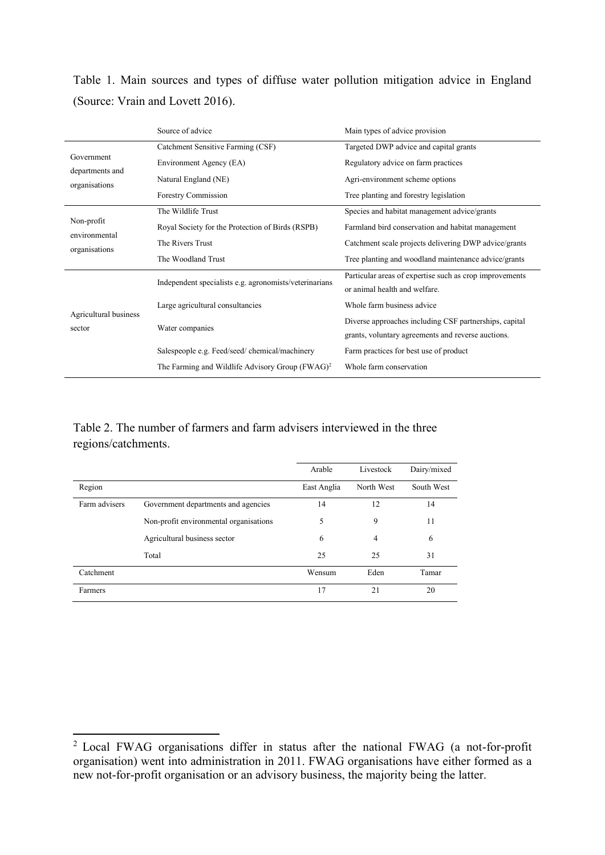|                                  |  |  |  |  | Table 1. Main sources and types of diffuse water pollution mitigation advice in England |  |  |
|----------------------------------|--|--|--|--|-----------------------------------------------------------------------------------------|--|--|
| (Source: Vrain and Lovett 2016). |  |  |  |  |                                                                                         |  |  |

|                                  | Source of advice                                       | Main types of advice provision                          |  |  |  |
|----------------------------------|--------------------------------------------------------|---------------------------------------------------------|--|--|--|
|                                  | Catchment Sensitive Farming (CSF)                      | Targeted DWP advice and capital grants                  |  |  |  |
| Government                       | Environment Agency (EA)                                | Regulatory advice on farm practices                     |  |  |  |
| departments and<br>organisations | Natural England (NE)                                   | Agri-environment scheme options                         |  |  |  |
|                                  | <b>Forestry Commission</b>                             | Tree planting and forestry legislation                  |  |  |  |
|                                  | The Wildlife Trust                                     | Species and habitat management advice/grants            |  |  |  |
| Non-profit<br>environmental      | Royal Society for the Protection of Birds (RSPB)       | Farmland bird conservation and habitat management       |  |  |  |
| organisations                    | The Rivers Trust                                       | Catchment scale projects delivering DWP advice/grants   |  |  |  |
|                                  | The Woodland Trust                                     | Tree planting and woodland maintenance advice/grants    |  |  |  |
|                                  | Independent specialists e.g. agronomists/veterinarians | Particular areas of expertise such as crop improvements |  |  |  |
|                                  |                                                        | or animal health and welfare.                           |  |  |  |
|                                  | Large agricultural consultancies                       | Whole farm business advice                              |  |  |  |
| Agricultural business<br>sector  | Water companies                                        | Diverse approaches including CSF partnerships, capital  |  |  |  |
|                                  |                                                        | grants, voluntary agreements and reverse auctions.      |  |  |  |
|                                  | Salespeople e.g. Feed/seed/ chemical/machinery         | Farm practices for best use of product                  |  |  |  |
|                                  | The Farming and Wildlife Advisory Group $(FWAG)^2$     | Whole farm conservation                                 |  |  |  |

# Table 2. The number of farmers and farm advisers interviewed in the three regions/catchments.

|               |                                        | Arable      | Livestock      | Dairy/mixed |
|---------------|----------------------------------------|-------------|----------------|-------------|
| Region        |                                        | East Anglia | North West     | South West  |
| Farm advisers | Government departments and agencies    | 14          | 12             | 14          |
|               | Non-profit environmental organisations | 5           | 9              | 11          |
|               | Agricultural business sector           | 6           | $\overline{4}$ | 6           |
|               | Total                                  | 25          | 25             | 31          |
| Catchment     |                                        | Wensum      | Eden           | Tamar       |
| Farmers       |                                        | 17          | 21             | 20          |

1

 $2$  Local FWAG organisations differ in status after the national FWAG (a not-for-profit organisation) went into administration in 2011. FWAG organisations have either formed as a new not-for-profit organisation or an advisory business, the majority being the latter.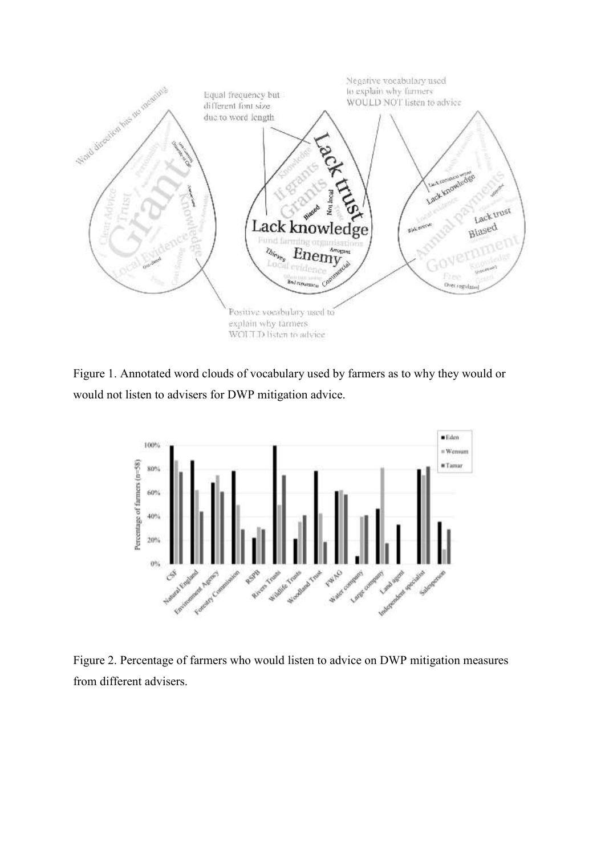

Figure 1. Annotated word clouds of vocabulary used by farmers as to why they would or would not listen to advisers for DWP mitigation advice.



Figure 2. Percentage of farmers who would listen to advice on DWP mitigation measures from different advisers.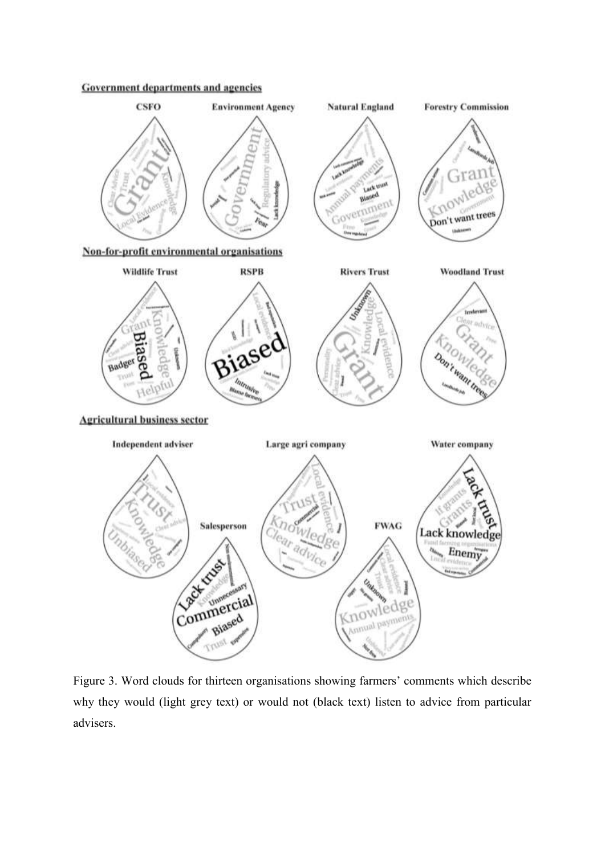# **Government departments and agencies**



Figure 3. Word clouds for thirteen organisations showing farmers' comments which describe why they would (light grey text) or would not (black text) listen to advice from particular advisers.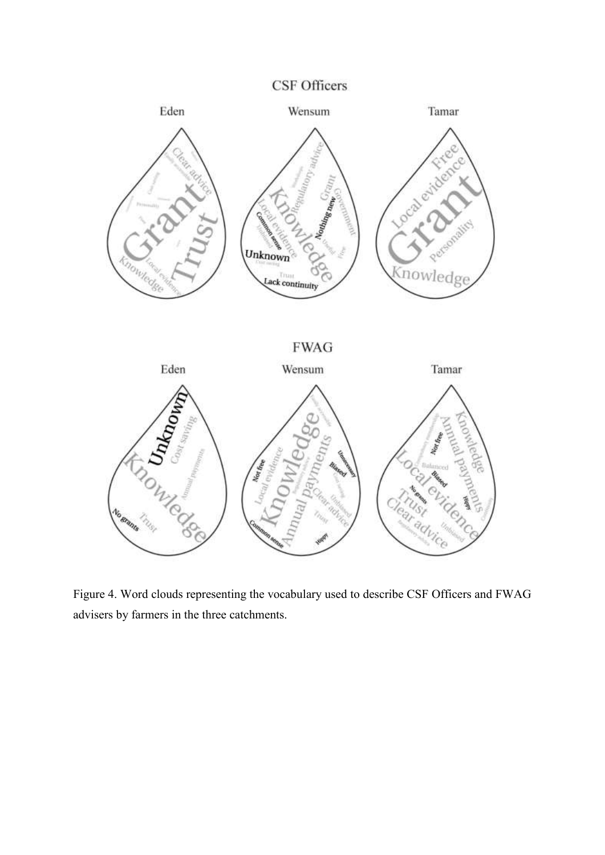# CSF Officers



Figure 4. Word clouds representing the vocabulary used to describe CSF Officers and FWAG advisers by farmers in the three catchments.